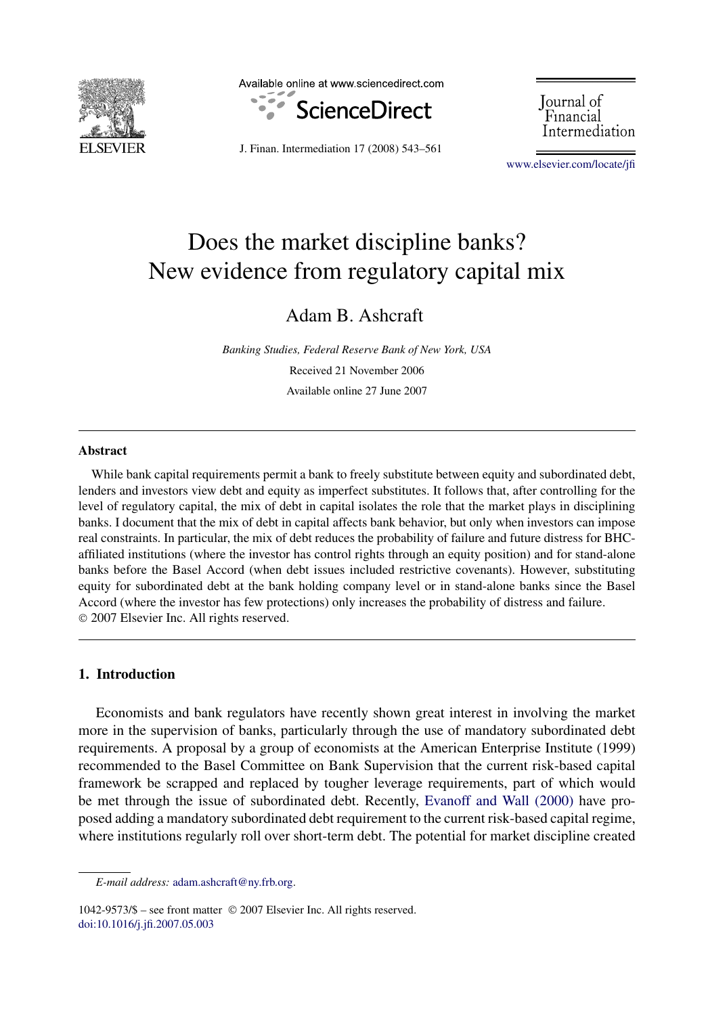

Available online at www.sciencedirect.com



Journal of Financial Intermediation

J. Finan. Intermediation 17 (2008) 543–561

[www.elsevier.com/locate/jfi](http://www.elsevier.com/locate/jfi)

## Does the market discipline banks? New evidence from regulatory capital mix

Adam B. Ashcraft

*Banking Studies, Federal Reserve Bank of New York, USA* Received 21 November 2006 Available online 27 June 2007

## **Abstract**

While bank capital requirements permit a bank to freely substitute between equity and subordinated debt, lenders and investors view debt and equity as imperfect substitutes. It follows that, after controlling for the level of regulatory capital, the mix of debt in capital isolates the role that the market plays in disciplining banks. I document that the mix of debt in capital affects bank behavior, but only when investors can impose real constraints. In particular, the mix of debt reduces the probability of failure and future distress for BHCaffiliated institutions (where the investor has control rights through an equity position) and for stand-alone banks before the Basel Accord (when debt issues included restrictive covenants). However, substituting equity for subordinated debt at the bank holding company level or in stand-alone banks since the Basel Accord (where the investor has few protections) only increases the probability of distress and failure. © 2007 Elsevier Inc. All rights reserved.

## **1. Introduction**

Economists and bank regulators have recently shown great interest in involving the market more in the supervision of banks, particularly through the use of mandatory subordinated debt requirements. A proposal by a group of economists at the American Enterprise Institute (1999) recommended to the Basel Committee on Bank Supervision that the current risk-based capital framework be scrapped and replaced by tougher leverage requirements, part of which would be met through the issue of subordinated debt. Recently, [Evanoff and Wall \(2000\)](#page--1-0) have proposed adding a mandatory subordinated debt requirement to the current risk-based capital regime, where institutions regularly roll over short-term debt. The potential for market discipline created

1042-9573/\$ – see front matter © 2007 Elsevier Inc. All rights reserved. [doi:10.1016/j.jfi.2007.05.003](http://dx.doi.org/10.1016/j.jfi.2007.05.003)

*E-mail address:* [adam.ashcraft@ny.frb.org.](mailto:adam.ashcraft@ny.frb.org)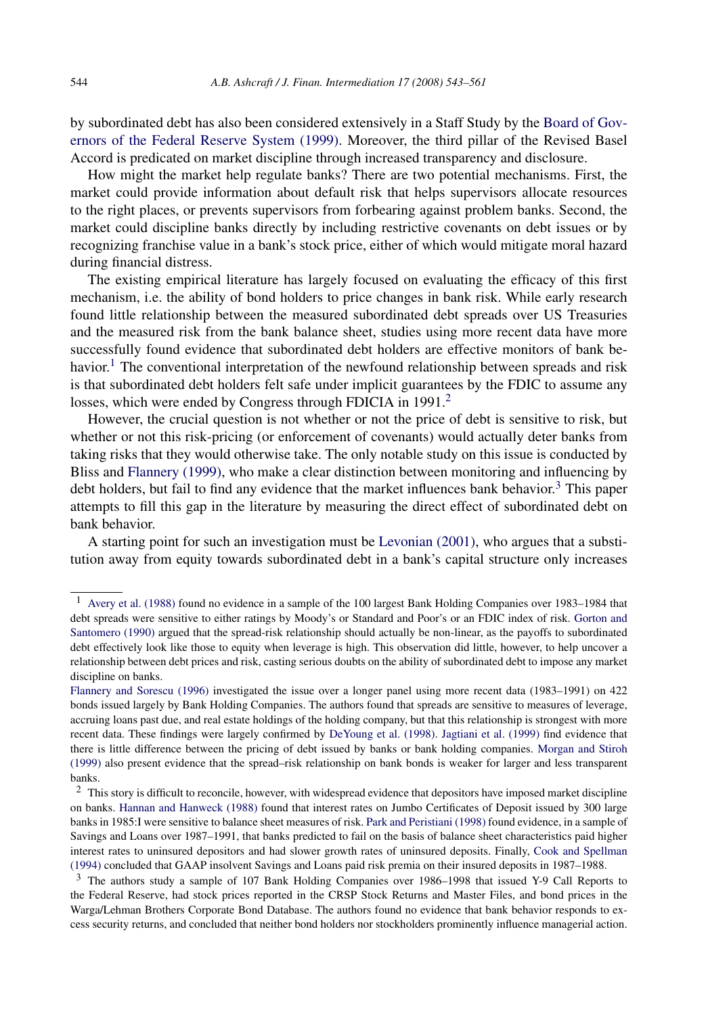by subordinated debt has also been considered extensively in a Staff Study by the [Board of Gov](#page--1-0)[ernors of the Federal Reserve System \(1999\).](#page--1-0) Moreover, the third pillar of the Revised Basel Accord is predicated on market discipline through increased transparency and disclosure.

How might the market help regulate banks? There are two potential mechanisms. First, the market could provide information about default risk that helps supervisors allocate resources to the right places, or prevents supervisors from forbearing against problem banks. Second, the market could discipline banks directly by including restrictive covenants on debt issues or by recognizing franchise value in a bank's stock price, either of which would mitigate moral hazard during financial distress.

The existing empirical literature has largely focused on evaluating the efficacy of this first mechanism, i.e. the ability of bond holders to price changes in bank risk. While early research found little relationship between the measured subordinated debt spreads over US Treasuries and the measured risk from the bank balance sheet, studies using more recent data have more successfully found evidence that subordinated debt holders are effective monitors of bank behavior.<sup>1</sup> The conventional interpretation of the newfound relationship between spreads and risk is that subordinated debt holders felt safe under implicit guarantees by the FDIC to assume any losses, which were ended by Congress through FDICIA in 1991.<sup>2</sup>

However, the crucial question is not whether or not the price of debt is sensitive to risk, but whether or not this risk-pricing (or enforcement of covenants) would actually deter banks from taking risks that they would otherwise take. The only notable study on this issue is conducted by Bliss and [Flannery \(1999\),](#page--1-0) who make a clear distinction between monitoring and influencing by debt holders, but fail to find any evidence that the market influences bank behavior.<sup>3</sup> This paper attempts to fill this gap in the literature by measuring the direct effect of subordinated debt on bank behavior.

A starting point for such an investigation must be [Levonian \(2001\),](#page--1-0) who argues that a substitution away from equity towards subordinated debt in a bank's capital structure only increases

<sup>1</sup> [Avery et al. \(1988\)](#page--1-0) found no evidence in a sample of the 100 largest Bank Holding Companies over 1983–1984 that debt spreads were sensitive to either ratings by Moody's or Standard and Poor's or an FDIC index of risk. [Gorton and](#page--1-0) [Santomero \(1990\)](#page--1-0) argued that the spread-risk relationship should actually be non-linear, as the payoffs to subordinated debt effectively look like those to equity when leverage is high. This observation did little, however, to help uncover a relationship between debt prices and risk, casting serious doubts on the ability of subordinated debt to impose any market discipline on banks.

[Flannery and Sorescu \(1996\)](#page--1-0) investigated the issue over a longer panel using more recent data (1983–1991) on 422 bonds issued largely by Bank Holding Companies. The authors found that spreads are sensitive to measures of leverage, accruing loans past due, and real estate holdings of the holding company, but that this relationship is strongest with more recent data. These findings were largely confirmed by [DeYoung et al. \(1998\).](#page--1-0) [Jagtiani et al. \(1999\)](#page--1-0) find evidence that there is little difference between the pricing of debt issued by banks or bank holding companies. [Morgan and Stiroh](#page--1-0) [\(1999\)](#page--1-0) also present evidence that the spread–risk relationship on bank bonds is weaker for larger and less transparent banks.

<sup>&</sup>lt;sup>2</sup> This story is difficult to reconcile, however, with widespread evidence that depositors have imposed market discipline on banks. [Hannan and Hanweck \(1988\)](#page--1-0) found that interest rates on Jumbo Certificates of Deposit issued by 300 large banks in 1985:I were sensitive to balance sheet measures of risk. [Park and Peristiani \(1998\)](#page--1-0) found evidence, in a sample of Savings and Loans over 1987–1991, that banks predicted to fail on the basis of balance sheet characteristics paid higher interest rates to uninsured depositors and had slower growth rates of uninsured deposits. Finally, [Cook and Spellman](#page--1-0) [\(1994\)](#page--1-0) concluded that GAAP insolvent Savings and Loans paid risk premia on their insured deposits in 1987–1988.

<sup>&</sup>lt;sup>3</sup> The authors study a sample of 107 Bank Holding Companies over 1986–1998 that issued Y-9 Call Reports to the Federal Reserve, had stock prices reported in the CRSP Stock Returns and Master Files, and bond prices in the Warga/Lehman Brothers Corporate Bond Database. The authors found no evidence that bank behavior responds to excess security returns, and concluded that neither bond holders nor stockholders prominently influence managerial action.